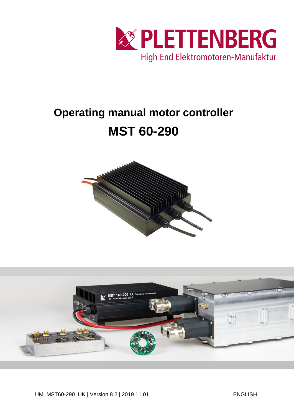

# **Operating manual motor controller MST 60-290**



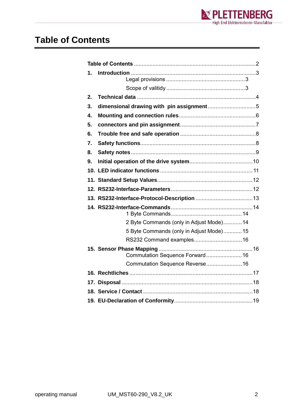

### <span id="page-1-0"></span>**Table of Contents**

| 1. |                                          |
|----|------------------------------------------|
|    |                                          |
| 2. |                                          |
| 3. |                                          |
| 4. |                                          |
| 5. |                                          |
| 6. |                                          |
| 7. |                                          |
| 8. |                                          |
| 9. |                                          |
|    |                                          |
|    |                                          |
|    |                                          |
|    |                                          |
|    |                                          |
|    | 2 Byte Commands (only in Adjust Mode) 14 |
|    | 5 Byte Commands (only in Adjust Mode) 15 |
|    | RS232 Command examples 16                |
|    | Commutation Sequence Forward 16          |
|    | Commutation Sequence Reverse 16          |
|    |                                          |
|    |                                          |
|    |                                          |
|    |                                          |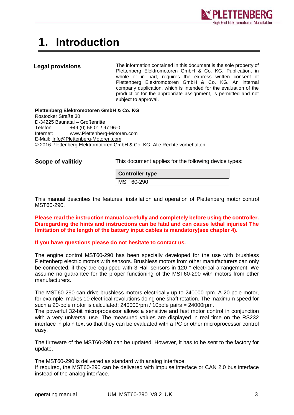

# <span id="page-2-0"></span>**1. Introduction**

#### <span id="page-2-1"></span>**Legal provisions**

The information contained in this document is the sole property of Plettenberg Elektromotoren GmbH & Co. KG. Publication, in whole or in part, requires the express written consent of Plettenberg Elektromotoren GmbH & Co. KG. An internal company duplication, which is intended for the evaluation of the product or for the appropriate assignment, is permitted and not subject to approval.

**Plettenberg Elektromotoren GmbH & Co. KG** Rostocker Straße 30 D-34225 Baunatal – Großenritte Telefon: +49 (0) 56 01 / 97 96-0 Internet: www.Plettenberg-Motoren.com E-Mail: [Info@Plettenberg-Motoren.com](mailto:Info@Plettenberg-Motoren.com) © 2016 Plettenberg Elektromotoren GmbH & Co. KG. Alle Rechte vorbehalten.

<span id="page-2-2"></span>**Scope of valitidy**

This document applies for the following device types:

**Controller type** MST 60-290

This manual describes the features, installation and operation of Plettenberg motor control MST60-290.

**Please read the instruction manual carefully and completely before using the controller. Disregarding the hints and instructions can be fatal and can cause lethal injuries! The limitation of the length of the battery input cables is mandatory(see chapter 4).**

#### **If you have questions please do not hesitate to contact us.**

The engine control MST60-290 has been specially developed for the use with brushless Plettenberg electric motors with sensors. Brushless motors from other manufacturers can only be connected, if they are equipped with 3 Hall sensors in 120 ° electrical arrangement. We assume no guarantee for the proper functioning of the MST60-290 with motors from other manufacturers.

The MST60-290 can drive brushless motors electrically up to 240000 rpm. A 20-pole motor, for example, makes 10 electrical revolutions doing one shaft rotation. The maximum speed for such a 20-pole motor is calculated: 240000rpm / 10pole pairs = 24000rpm.

The powerful 32-bit microprocessor allows a sensitive and fast motor control in conjunction with a very universal use. The measured values are displayed in real time on the RS232 interface in plain text so that they can be evaluated with a PC or other microprocessor control easy.

The firmware of the MST60-290 can be updated. However, it has to be sent to the factory for update.

The MST60-290 is delivered as standard with analog interface.

If required, the MST60-290 can be delivered with impulse interface or CAN 2.0 bus interface instead of the analog interface.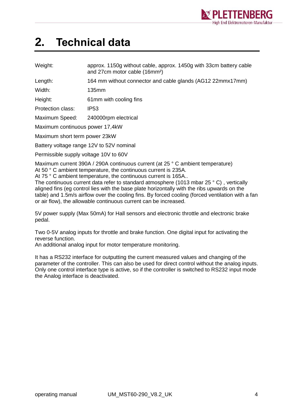

### <span id="page-3-0"></span>**2. Technical data**

| Weight: | approx. 1150g without cable, approx. 1450g with 33cm battery cable |
|---------|--------------------------------------------------------------------|
|         | and 27cm motor cable (16mm <sup>2</sup> )                          |

Length: 164 mm without connector and cable glands (AG12 22mmx17mm)

Width: 135mm

Height: 61mm with cooling fins

Protection class: IP53

Maximum Speed: 240000rpm electrical

Maximum continuous power 17,4kW

Maximum short term power 23kW

Battery voltage range 12V to 52V nominal

Permissible supply voltage 10V to 60V

Maximum current 390A / 290A continuous current (at 25 ° C ambient temperature) At 50 ° C ambient temperature, the continuous current is 235A.

At 75 ° C ambient temperature, the continuous current is 165A..

The continuous current data refer to standard atmosphere (1013 mbar 25 ° C) , vertically aligned fins (eg control lies with the base plate horizontally with the ribs upwards on the table) and 1.5m/s airflow over the cooling fins. By forced cooling (forced ventilation with a fan or air flow), the allowable continuous current can be increased.

5V power supply (Max 50mA) for Hall sensors and electronic throttle and electronic brake pedal.

Two 0-5V analog inputs for throttle and brake function. One digital input for activating the reverse function.

An additional analog input for motor temperature monitoring.

It has a RS232 interface for outputting the current measured values and changing of the parameter of the controller. This can also be used for direct control without the analog inputs. Only one control interface type is active, so if the controller is switched to RS232 input mode the Analog interface is deactivated.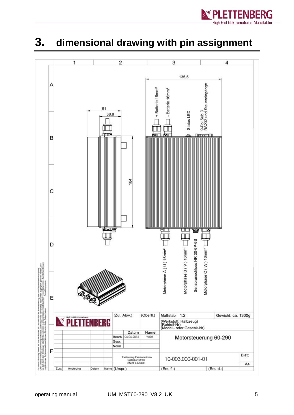

### <span id="page-4-0"></span>**3. dimensional drawing with pin assignment**

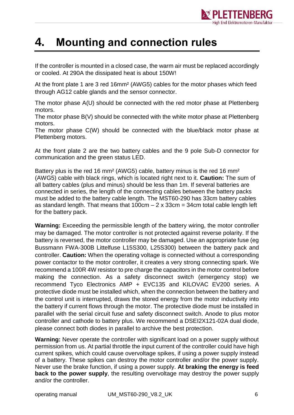

### <span id="page-5-0"></span>**4. Mounting and connection rules**

If the controller is mounted in a closed case, the warm air must be replaced accordingly or cooled. At 290A the dissipated heat is about 150W!

At the front plate 1 are 3 red 16mm² (AWG5) cables for the motor phases which feed through AG12 cable glands and the sensor connector.

The motor phase A(U) should be connected with the red motor phase at Plettenberg motors.

The motor phase B(V) should be connected with the white motor phase at Plettenberg motors.

The motor phase C(W) should be connected with the blue/black motor phase at Plettenberg motors.

At the front plate 2 are the two battery cables and the 9 pole Sub-D connector for communication and the green status LED.

Battery plus is the red 16 mm² (AWG5) cable, battery minus is the red 16 mm² (AWG5) cable with black rings, which is located right next to it. **Caution:** The sum of all battery cables (plus and minus) should be less than 1m. If several batteries are connected in series, the length of the connecting cables between the battery packs must be added to the battery cable length. The MST60-290 has 33cm battery cables as standard length. That means that  $100 \text{cm} - 2 \times 33 \text{cm} = 34 \text{cm}$  total cable length left for the battery pack.

**Warning:** Exceeding the permissible length of the battery wiring, the motor controller may be damaged. The motor controller is not protected against reverse polarity. If the battery is reversed, the motor controller may be damaged. Use an appropriate fuse (eg Bussmann FWA-300B Littelfuse L15S300, L25S300) between the battery pack and controller. **Caution:** When the operating voltage is connected without a corresponding power contactor to the motor controller, it creates a very strong connecting spark. We recommend a 100R 4W resistor to pre charge the capacitors in the motor control before making the connection. As a safety disconnect switch (emergency stop) we recommend Tyco Electronics AMP + EVC135 and KILOVAC EV200 series. A protective diode must be installed which, when the connection between the battery and the control unit is interrupted, draws the stored energy from the motor inductivity into the battery if current flows through the motor. The protective diode must be installed in parallel with the serial circuit fuse and safety disconnect switch. Anode to plus motor controller and cathode to battery plus. We recommend a DSEI2X121-02A dual diode, please connect both diodes in parallel to archive the best protection.

**Warning:** Never operate the controller with significant load on a power supply without permission from us. At partial throttle the input current of the controller could have high current spikes, which could cause overvoltage spikes, if using a power supply instead of a battery. These spikes can destroy the motor controller and/or the power supply. Never use the brake function, if using a power supply. **At braking the energy is feed back to the power supply**, the resulting overvoltage may destroy the power supply and/or the controller.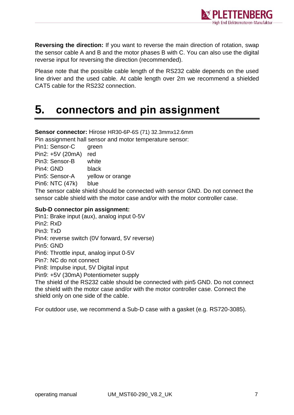

**Reversing the direction:** If you want to reverse the main direction of rotation, swap the sensor cable A and B and the motor phases B with C. You can also use the digital reverse input for reversing the direction (recommended).

Please note that the possible cable length of the RS232 cable depends on the used line driver and the used cable. At cable length over 2m we recommend a shielded CAT5 cable for the RS232 connection.

### <span id="page-6-0"></span>**5. connectors and pin assignment**

**Sensor connector:** Hirose HR30-6P-6S (71) 32.3mmx12.6mm Pin assignment hall sensor and motor temperature sensor:

Pin1: Sensor-C green Pin2: +5V (20mA) red Pin3: Sensor-B white Pin4: GND black Pin5: Sensor-A yellow or orange Pin6: NTC (47k) blue

The sensor cable shield should be connected with sensor GND. Do not connect the sensor cable shield with the motor case and/or with the motor controller case.

#### **Sub-D connector pin assignment:**

Pin1: Brake input (aux), analog input 0-5V Pin2: RxD Pin3: TxD Pin4: reverse switch (0V forward, 5V reverse) Pin5: GND Pin6: Throttle input, analog input 0-5V Pin7: NC do not connect Pin8: Impulse input, 5V Digital input Pin9: +5V (30mA) Potentiometer supply

The shield of the RS232 cable should be connected with pin5 GND. Do not connect the shield with the motor case and/or with the motor controller case. Connect the shield only on one side of the cable.

For outdoor use, we recommend a Sub-D case with a gasket (e.g. RS720-3085).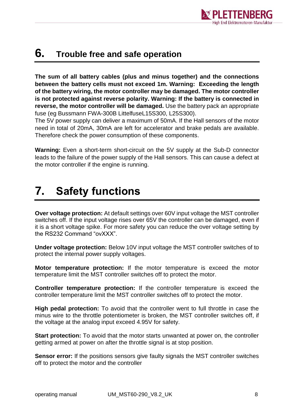

### <span id="page-7-0"></span>**6. Trouble free and safe operation**

**The sum of all battery cables (plus and minus together) and the connections between the battery cells must not exceed 1m. Warning: Exceeding the length of the battery wiring, the motor controller may be damaged. The motor controller is not protected against reverse polarity. Warning: If the battery is connected in reverse, the motor controller will be damaged.** Use the battery pack an appropriate fuse (eg Bussmann FWA-300B LittelfuseL15S300, L25S300).

The 5V power supply can deliver a maximum of 50mA. If the Hall sensors of the motor need in total of 20mA, 30mA are left for accelerator and brake pedals are available. Therefore check the power consumption of these components.

**Warning:** Even a short-term short-circuit on the 5V supply at the Sub-D connector leads to the failure of the power supply of the Hall sensors. This can cause a defect at the motor controller if the engine is running.

# <span id="page-7-1"></span>**7. Safety functions**

**Over voltage protection:** At default settings over 60V input voltage the MST controller switches off. If the input voltage rises over 65V the controller can be damaged, even if it is a short voltage spike. For more safety you can reduce the over voltage setting by the RS232 Command "ovXXX".

**Under voltage protection:** Below 10V input voltage the MST controller switches of to protect the internal power supply voltages.

**Motor temperature protection:** If the motor temperature is exceed the motor temperature limit the MST controller switches off to protect the motor.

**Controller temperature protection:** If the controller temperature is exceed the controller temperature limit the MST controller switches off to protect the motor.

**High pedal protection:** To avoid that the controller went to full throttle in case the minus wire to the throttle potentiometer is broken, the MST controller switches off, if the voltage at the analog input exceed 4.95V for safety.

**Start protection:** To avoid that the motor starts unwanted at power on, the controller getting armed at power on after the throttle signal is at stop position.

**Sensor error:** If the positions sensors give faulty signals the MST controller switches off to protect the motor and the controller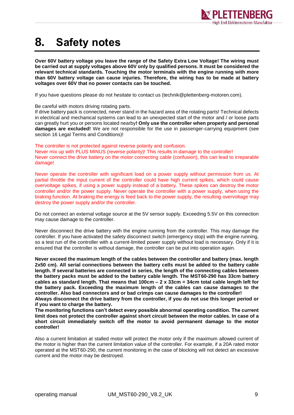

### <span id="page-8-0"></span>**8. Safety notes**

**Over 60V battery voltage you leave the range of the Safety Extra Low Voltage! The wiring must be carried out at supply voltages above 60V only by qualified persons. It must be considered the relevant technical standards. Touching the motor terminals with the engine running with more than 60V battery voltage can cause injuries. Therefore, the wiring has to be made at battery voltages over 60V that no power contacts can be touched.**

If you have questions please do not hesitate to contact us (technik@plettenberg-motoren.com).

Be careful with motors driving rotating parts.

If drive battery pack is connected, never stand in the hazard area of the rotating parts! Technical defects in electrical and mechanical systems can lead to an unexpected start of the motor and / or loose parts can greatly hurt you or persons located nearby**! Only use the controller when property and personal damages are excluded!** We are not responsible for the use in passenger-carrying equipment (see section 16 Legal Terms and Conditions)!

The controller is not protected against reverse polarity and confusion.

Never mix up with PLUS MINUS (reverse polarity)! This results in damage to the controller! Never connect the drive battery on the motor connecting cable (confusion), this can lead to irreparable damage!

Never operate the controller with significant load on a power supply without permission from us. At partial throttle the input current of the controller could have high current spikes, which could cause overvoltage spikes, if using a power supply instead of a battery. These spikes can destroy the motor controller and/or the power supply. Never operate the controller with a power supply, when using the braking function. At braking the energy is feed back to the power supply, the resulting overvoltage may destroy the power supply and/or the controller.

Do not connect an external voltage source at the 5V sensor supply. Exceeding 5.5V on this connection may cause damage to the controller.

Never disconnect the drive battery with the engine running from the controller. This may damage the controller. If you have activated the safety disconnect switch (emergency stop) with the engine running, so a test run of the controller with a current-limited power supply without load is necessary. Only if it is ensured that the controller is without damage, the controller can be put into operation again.

**Never exceed the maximum length of the cables between the controller and battery (max. length 2x50 cm). All serial connections between the battery cells must be added to the battery cable length. If several batteries are connected in series, the length of the connecting cables between the battery packs must be added to the battery cable length. The MST60-290 has 33cm battery cables as standard length. That means that 100cm – 2 x 33cm = 34cm total cable length left for the battery pack. Exceeding the maximum length of the cables can cause damages to the controller. Also bad connectors and or bad crimps can cause damages to the controller! Always disconnect the drive battery from the controller, if you do not use this longer period or** 

**if you want to charge the battery.**

**The monitoring functions can't detect every possible abnormal operating condition. The current limit does not protect the controller against short circuit between the motor cables. In case of a short circuit immediately switch off the motor to avoid permanent damage to the motor controller!**

Also a current limitation at stalled motor will protect the motor only if the maximum allowed current of the motor is higher than the current limitation value of the controller. For example, if a 20A rated motor operated at the MST60-290, the current monitoring in the case of blocking will not detect an excessive current and the motor may be destroyed.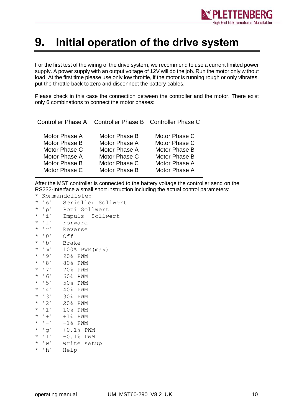

### <span id="page-9-0"></span>**9. Initial operation of the drive system**

For the first test of the wiring of the drive system, we recommend to use a current limited power supply. A power supply with an output voltage of 12V will do the job. Run the motor only without load. At the first time please use only low throttle, if the motor is running rough or only vibrates, put the throttle back to zero and disconnect the battery cables.

Please check in this case the connection between the controller and the motor. There exist only 6 combinations to connect the motor phases:

| <b>Controller Phase A</b> |               | Controller Phase B   Controller Phase C |
|---------------------------|---------------|-----------------------------------------|
| Motor Phase A             | Motor Phase B | Motor Phase C                           |
| Motor Phase B             | Motor Phase A | Motor Phase C                           |
| Motor Phase C             | Motor Phase A | Motor Phase B                           |
| Motor Phase A             | Motor Phase C | Motor Phase B                           |
| Motor Phase B             | Motor Phase C | Motor Phase A                           |
| Motor Phase C             | Motor Phase B | Motor Phase A                           |

After the MST controller is connected to the battery voltage the controller send on the RS232-Interface a small short instruction including the actual control parameters:

- \* Kommandoliste:
- \* 's' Serieller Sollwert
- \* 'p' Poti Sollwert
- \* 'i' Impuls Sollwert
- \* 'f' Forward \* 'r' Reverse
- 
- \* '0' Off
- \* 'b' Brake
- $*$  'm'  $100\%$  PWM (max)
- \* '9' 90% PWM
- \* '8' 80% PWM
- \* '7' 70% PWM
- \* '6' 60% PWM
- \* '5' 50% PWM
- \* '4' 40% PWM
- \* '3' 30% PWM
- \* '2' 20% PWM
- \* '1' 10% PWM
- $\star$  '+' +1% PWM
- $\star$  '-' -1% PWM
- \* 'g' +0.1% PWM
- \* 'l' -0.1% PWM
- \* 'w' write setup
- \* 'h' Help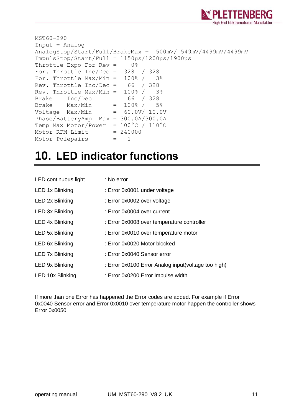

```
MST60-290
Input = Analog
AnalogStop/Start/Full/BrakeMax = 500mV/ 549mV/4499mV/4499mV
ImpulsStop/Start/Full = 1150µs/1200µs/1900µs
Throttle Expo For+Rev = 0%
For. Throttle Inc/Dec = 328 / 328
For. Throttle Max/Min = 100\frac{8}{7} 3%
Rev. Throttle Inc/Dec = 66 / 328
Rev. Throttle Max/Min = 100\% / 3\%Brake Inc/Dec = 66 / 328
Brake Max/Min = 100\frac{8}{7} 5%
Voltage Max/Min = 60.0V/ 10.0VPhase/BatteryAmp Max = 300.0A/300.0A
Temp Max Motor/Power = 100^{\circ}C / 110^{\circ}C
Motor RPM Limit = 240000Motor Polepairs = 1
```
### <span id="page-10-0"></span>**10. LED indicator functions**

| LED continuous light   | : No error                                          |
|------------------------|-----------------------------------------------------|
| LED 1x Blinking        | : Error 0x0001 under voltage                        |
| LED 2x Blinking        | : Error 0x0002 over voltage                         |
| LED 3x Blinking        | : Error 0x0004 over current                         |
| LED 4x Blinking        | : Error 0x0008 over temperature controller          |
| LED 5x Blinking        | : Error 0x0010 over temperature motor               |
| LED 6x Blinking        | : Error 0x0020 Motor blocked                        |
| <b>LED 7x Blinking</b> | : Error 0x0040 Sensor error                         |
| LED 9x Blinking        | : Error 0x0100 Error Analog input(voltage too high) |
| LED 10x Blinking       | : Error 0x0200 Error Impulse width                  |

If more than one Error has happened the Error codes are added. For example if Error 0x0040 Sensor error and Error 0x0010 over temperature motor happen the controller shows Error 0x0050.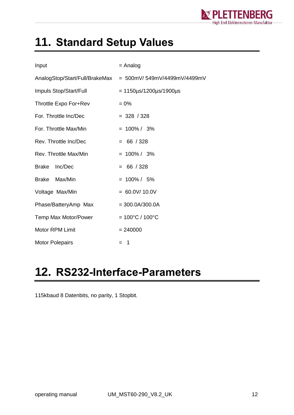

# <span id="page-11-0"></span>**11. Standard Setup Values**

| Input                   | $=$ Analog                                                 |  |  |
|-------------------------|------------------------------------------------------------|--|--|
|                         | AnalogStop/Start/Full/BrakeMax = 500mV/549mV/4499mV/4499mV |  |  |
| Impuls Stop/Start/Full  | $= 1150 \mu s / 1200 \mu s / 1900 \mu s$                   |  |  |
| Throttle Expo For+Rev   | $= 0\%$                                                    |  |  |
| For. Throttle Inc/Dec   | $= 328 / 328$                                              |  |  |
| For. Throttle Max/Min   | $= 100\% / 3\%$                                            |  |  |
| Rev. Throttle Inc/Dec   | $= 66 / 328$                                               |  |  |
| Rev. Throttle Max/Min   | $= 100\% / 3\%$                                            |  |  |
| Inc/Dec<br><b>Brake</b> | $= 66 / 328$                                               |  |  |
| Brake Max/Min           | $= 100\% / 5\%$                                            |  |  |
| Voltage Max/Min         | $= 60.0 V/ 10.0 V$                                         |  |  |
| Phase/BatteryAmp Max    | $= 300.0A/300.0A$                                          |  |  |
| Temp Max Motor/Power    | $= 100^{\circ}$ C / 100 $^{\circ}$ C                       |  |  |
| <b>Motor RPM Limit</b>  | $= 240000$                                                 |  |  |
| <b>Motor Polepairs</b>  | $=$ 1                                                      |  |  |

# <span id="page-11-1"></span>**12. RS232-Interface-Parameters**

115kbaud 8 Datenbits, no parity, 1 Stopbit.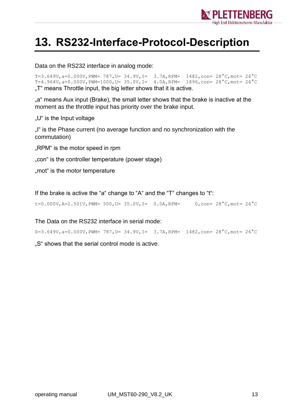

### <span id="page-12-0"></span>**13. RS232-Interface-Protocol-Description**

Data on the RS232 interface in analog mode:

T=3.649V, a=0.000V, PWM= 787, U= 34.9V, I= 3.7A, RPM=  $1482$ , con=  $28^{\circ}$ C, mot=  $26^{\circ}$ C T=4.964V, a=0.000V, PWM=1000, U= 35.0V, I= 4.0A, RPM=  $1896$ , con=  $28^{\circ}$ C, mot=  $26^{\circ}$ C ..T" means Throttle input, the big letter shows that it is active.

"a" means Aux input (Brake), the small letter shows that the brake is inactive at the moment as the throttle input has priority over the brake input.

"U" is the Input voltage

"I" is the Phase current (no average function and no synchronization with the commutation)

"RPM" is the motor speed in rpm

"con" is the controller temperature (power stage)

..mot" is the motor temperature

If the brake is active the "a" change to "A" and the "T" changes to "t":

t=0.000V, A=2.501V, PWM= 500, U= 35.0V, I= 0.0A, RPM= 0, con=  $28^{\circ}$ C, mot=  $26^{\circ}$ C

The Data on the RS232 interface in serial mode:

S=3.649V,a=0.000V,PWM= 787,U= 34.9V,I= 3.7A,RPM= 1482,con= 28°C,mot= 26°C

..S" shows that the serial control mode is active.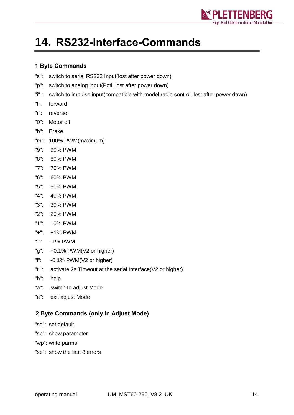

# <span id="page-13-0"></span>**14. RS232-Interface-Commands**

#### <span id="page-13-1"></span>**1 Byte Commands**

- "s": switch to serial RS232 Input(lost after power down)
- "p": switch to analog input(Poti, lost after power down)
- "i" : switch to impulse input(compatible with model radio control, lost after power down)
- "f": forward
- "r": reverse
- "0": Motor off
- "b": Brake
- "m": 100% PWM(maximum)
- "9": 90% PWM
- "8": 80% PWM
- "7": 70% PWM
- "6": 60% PWM
- "5": 50% PWM
- "4": 40% PWM
- "3": 30% PWM
- "2": 20% PWM
- "1": 10% PWM
- "+": +1% PWM
- "-": -1% PWM
- "g": +0,1% PWM(V2 or higher)
- "l": -0,1% PWM(V2 or higher)
- "t" : activate 2s Timeout at the serial Interface(V2 or higher)
- "h": help
- "a": switch to adjust Mode
- "e": exit adjust Mode

#### <span id="page-13-2"></span>**2 Byte Commands (only in Adjust Mode)**

- "sd": set default
- "sp": show parameter
- "wp": write parms
- "se": show the last 8 errors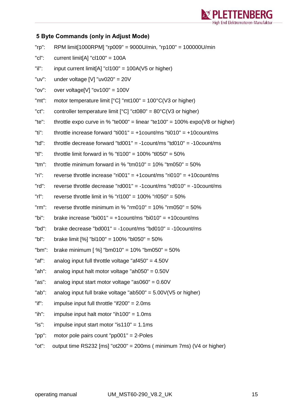

#### <span id="page-14-0"></span>**5 Byte Commands (only in Adjust Mode)**

| $"rp"$ :    | RPM limit[1000RPM] "rp009" = 9000U/min, "rp100" = 100000U/min                        |
|-------------|--------------------------------------------------------------------------------------|
| $"$ c $"$ : | current limit[A] " $cl100" = 100A$                                                   |
| "il":       | input current limit[A] " $c1100$ " = 100A(V5 or higher)                              |
| "uv":       | under voltage [V] "uv020" = $20V$                                                    |
| "ov":       | over voltage[V] " $ov100$ " = 100V                                                   |
| "mt":       | motor temperature limit $[°C]$ "mt100" = 100 $°C$ (V3 or higher)                     |
| $"ct"$ :    | controller temperature limit $[^{\circ}C]$ "ct080" = 80 $^{\circ}C$ (V3 or higher)   |
| "te":       | throttle expo curve in % "te000" = linear "te100" = 100% expo( $\sqrt{8}$ or higher) |
| "ti":       | throttle increase forward "ti001" = +1count/ms "ti010" = +10count/ms                 |
| "td":       | throttle decrease forward "td001" = -1 count/ms "td010" = -10 count/ms               |
| "tl":       | throttle limit forward in % "tl100" = 100% "tl050" = 50%                             |
| $"tm"$ :    | throttle minimum forward in % "tm010" = $10\%$ "tm050" = $50\%$                      |
| $"$ ri":    | reverse throttle increase "ri001" = $+1$ count/ms "ri010" = $+10$ count/ms           |
| $"rd"$ :    | reverse throttle decrease "rd001" = $-1$ count/ms "rd010" = $-10$ count/ms           |
| $"r"$ :     | reverse throttle limit in % "rl100" = 100% "rl050" = 50%                             |
| $"rm$ :     | reverse throttle minimum in % " $rm 010" = 10\%$ " $rm 050" = 50\%$                  |
| "bi":       | brake increase "bi001" = $+1$ count/ms "bi010" = $+10$ count/ms                      |
| "bd":       | brake decrease "bd001" = $-1$ count/ms "bd010" = $-10$ count/ms                      |
| $"bl"$ :    | brake limit [%] "bl100" = 100% "bl050" = 50%                                         |
| " $bm$ ":   | brake minimum [ $\%$ ] "bm010" = 10% "bm050" = 50%                                   |
| "af":       | analog input full throttle voltage "af450" = $4.50V$                                 |
| "ah":       | analog input halt motor voltage "ah050" = $0.50V$                                    |
| "as":       | analog input start motor voltage "as060" = $0.60V$                                   |
| "ab":       | analog input full brake voltage "ab500" = $5.00V(V5$ or higher)                      |
| $"$ if":    | impulse input full throttle "if $200" = 2.0$ ms                                      |
| $"ih"$ :    | impulse input halt motor "ih100" = $1.0$ ms                                          |
| "is":       | impulse input start motor "is110" = $1.1$ ms                                         |

- "pp": motor pole pairs count "pp001" = 2-Poles
- "ot": output time RS232 [ms] "ot200" = 200ms ( minimum 7ms) (V4 or higher)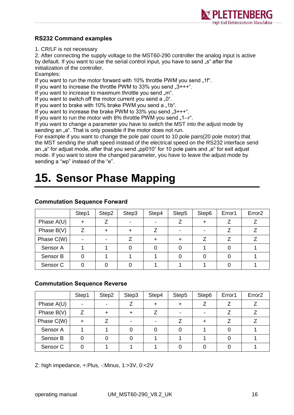

#### <span id="page-15-0"></span>**RS232 Command examples**

1. CR/LF is not necessary

2. After connecting the supply voltage to the MST60-290 controller the analog input is active by default. If you want to use the serial control input, you have to send "s" after the initialization of the controller.

Examples:

If you want to run the motor forward with 10% throttle PWM you send "1f".

If you want to increase the throttle PWM to 33% you send  $.3+++$ ".

If you want to increase to maximum throttle you send "m".

If you want to switch off the motor current you send a  $.0^{\circ}$ .

If you want to brake with 10% brake PWM you send a "1b".

If you want to increase the brake PWM to  $33\%$  you send  $.3***$ .

If you want to run the motor with 8% throttle PWM you send "1--r".

If you want to change a parameter you have to switch the MST into the adjust mode by sending an "a". That is only possible if the motor does not run.

For example if you want to change the pole pair count to 10 pole pairs(20 pole motor) that the MST sending the shaft speed instead of the electrical speed on the RS232 interface send an "a" for adjust mode, after that you send "pp010" for 10 pole pairs and "e" for exit adjust mode. If you want to store the changed parameter, you have to leave the adjust mode by sending a "wp" instead of the "e".

# <span id="page-15-1"></span>**15. Sensor Phase Mapping**

|                     | Step1 | Step2 | Step3 | Step4 | Step5                    | Step6 | Error1 | Error <sub>2</sub> |
|---------------------|-------|-------|-------|-------|--------------------------|-------|--------|--------------------|
| Phase $A(U)$        | ┿     |       |       |       |                          |       |        |                    |
| Phase $B(V)$        |       |       | ┿     |       | $\overline{\phantom{0}}$ |       |        |                    |
| Phase C(W)          |       |       |       |       |                          |       |        |                    |
| Sensor A            |       |       |       |       |                          |       |        |                    |
| Sensor B            |       |       |       |       |                          |       |        |                    |
| Sensor <sub>C</sub> |       |       |       |       |                          |       |        |                    |

#### <span id="page-15-2"></span>**Commutation Sequence Forward**

#### <span id="page-15-3"></span>**Commutation Sequence Reverse**

|                     | Step1 | Step2 | Step3 | Step4 | Step5 | Step6 | Error1 | Error <sub>2</sub> |
|---------------------|-------|-------|-------|-------|-------|-------|--------|--------------------|
| Phase $A(U)$        |       |       |       | +     |       |       |        |                    |
| Phase B(V)          |       |       |       | 7     |       |       |        |                    |
| Phase C(W)          |       |       |       |       |       |       |        |                    |
| Sensor A            |       |       |       |       |       |       |        |                    |
| Sensor B            |       |       |       |       |       |       |        |                    |
| Sensor <sub>C</sub> |       |       |       |       |       |       |        |                    |

Z: high impedance, +:Plus, -:Minus, 1:>3V, 0:<2V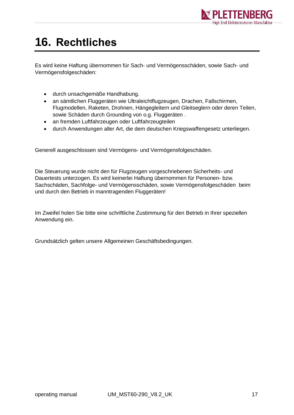

# <span id="page-16-0"></span>**16. Rechtliches**

Es wird keine Haftung übernommen für Sach- und Vermögensschäden, sowie Sach- und Vermögensfolgeschäden:

- durch unsachgemäße Handhabung.
- an sämtlichen Fluggeräten wie Ultraleichtflugzeugen, Drachen, Fallschirmen, Flugmodellen, Raketen, Drohnen, Hängegleitern und Gleitseglern oder deren Teilen, sowie Schäden durch Grounding von o.g. Fluggeräten .
- an fremden Luftfahrzeugen oder Luftfahrzeugteilen
- durch Anwendungen aller Art, die dem deutschen Kriegswaffengesetz unterliegen.

Generell ausgeschlossen sind Vermögens- und Vermögensfolgeschäden.

Die Steuerung wurde nicht den für Flugzeugen vorgeschriebenen Sicherheits- und Dauertests unterzogen. Es wird keinerlei Haftung übernommen für Personen- bzw. Sachschäden, Sachfolge- und Vermögensschäden, sowie Vermögensfolgeschäden beim und durch den Betrieb in manntragenden Fluggeräten!

Im Zweifel holen Sie bitte eine schriftliche Zustimmung für den Betrieb in Ihrer speziellen Anwendung ein.

Grundsätzlich gelten unsere Allgemeinen Geschäftsbedingungen.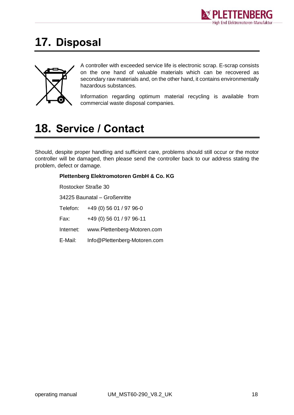

## <span id="page-17-0"></span>**17. Disposal**



A controller with exceeded service life is electronic scrap. E-scrap consists on the one hand of valuable materials which can be recovered as secondary raw materials and, on the other hand, it contains environmentally hazardous substances.

Information regarding optimum material recycling is available from commercial waste disposal companies.

# <span id="page-17-1"></span>**18. Service / Contact**

Should, despite proper handling and sufficient care, problems should still occur or the motor controller will be damaged, then please send the controller back to our address stating the problem, defect or damage.

### **Plettenberg Elektromotoren GmbH & Co. KG** Rostocker Straße 30 34225 Baunatal – Großenritte Telefon: +49 (0) 56 01 / 97 96-0 Fax: +49 (0) 56 01 / 97 96-11 Internet: www.Plettenberg-Motoren.com

E-Mail: [Info@Plettenberg-Motoren.com](mailto:Info@Plettenberg-Motoren.com)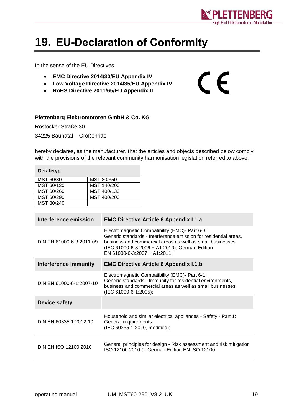

 $C \in$ 

# <span id="page-18-0"></span>**19. EU-Declaration of Conformity**

In the sense of the EU Directives

- **EMC Directive 2014/30/EU Appendix IV**
- **Low Voltage Directive 2014/35/EU Appendix IV**
- **RoHS Directive 2011/65/EU Appendix II**

#### **Plettenberg Elektromotoren GmbH & Co. KG**

Rostocker Straße 30 34225 Baunatal – Großenritte

hereby declares, as the manufacturer, that the articles and objects described below comply with the provisions of the relevant community harmonisation legislation referred to above.

| Gerätetyp  |             |  |  |  |  |
|------------|-------------|--|--|--|--|
| MST 60/80  | MST 80/350  |  |  |  |  |
| MST 60/130 | MST 140/200 |  |  |  |  |
| MST 60/260 | MST 400/133 |  |  |  |  |
| MST 60/290 | MST 400/200 |  |  |  |  |
| MST 80/240 |             |  |  |  |  |

| Interference emission    | <b>EMC Directive Article 6 Appendix I.1.a</b>                                                                                                                                                                                                                    |  |  |  |
|--------------------------|------------------------------------------------------------------------------------------------------------------------------------------------------------------------------------------------------------------------------------------------------------------|--|--|--|
| DIN EN 61000-6-3:2011-09 | Electromagnetic Compatibility (EMC)- Part 6-3:<br>Generic standards - Interference emission for residential areas,<br>business and commercial areas as well as small businesses<br>(IEC 61000-6-3:2006 + A1:2010); German Edition<br>EN 61000-6-3:2007 + A1:2011 |  |  |  |
| Interference immunity    | <b>EMC Directive Article 6 Appendix I.1.b</b>                                                                                                                                                                                                                    |  |  |  |
| DIN EN 61000-6-1:2007-10 | Electromagnetic Compatibility (EMC)- Part 6-1:<br>Generic standards - Immunity for residential environments,<br>business and commercial areas as well as small businesses<br>(IEC 61000-6-1:2005);                                                               |  |  |  |
| <b>Device safety</b>     |                                                                                                                                                                                                                                                                  |  |  |  |
| DIN EN 60335-1:2012-10   | Household and similar electrical appliances - Safety - Part 1:<br>General requirements<br>(IEC 60335-1:2010, modified);                                                                                                                                          |  |  |  |
| DIN EN ISO 12100:2010    | General principles for design - Risk assessment and risk mitigation<br>ISO 12100:2010 (): German Edition EN ISO 12100                                                                                                                                            |  |  |  |